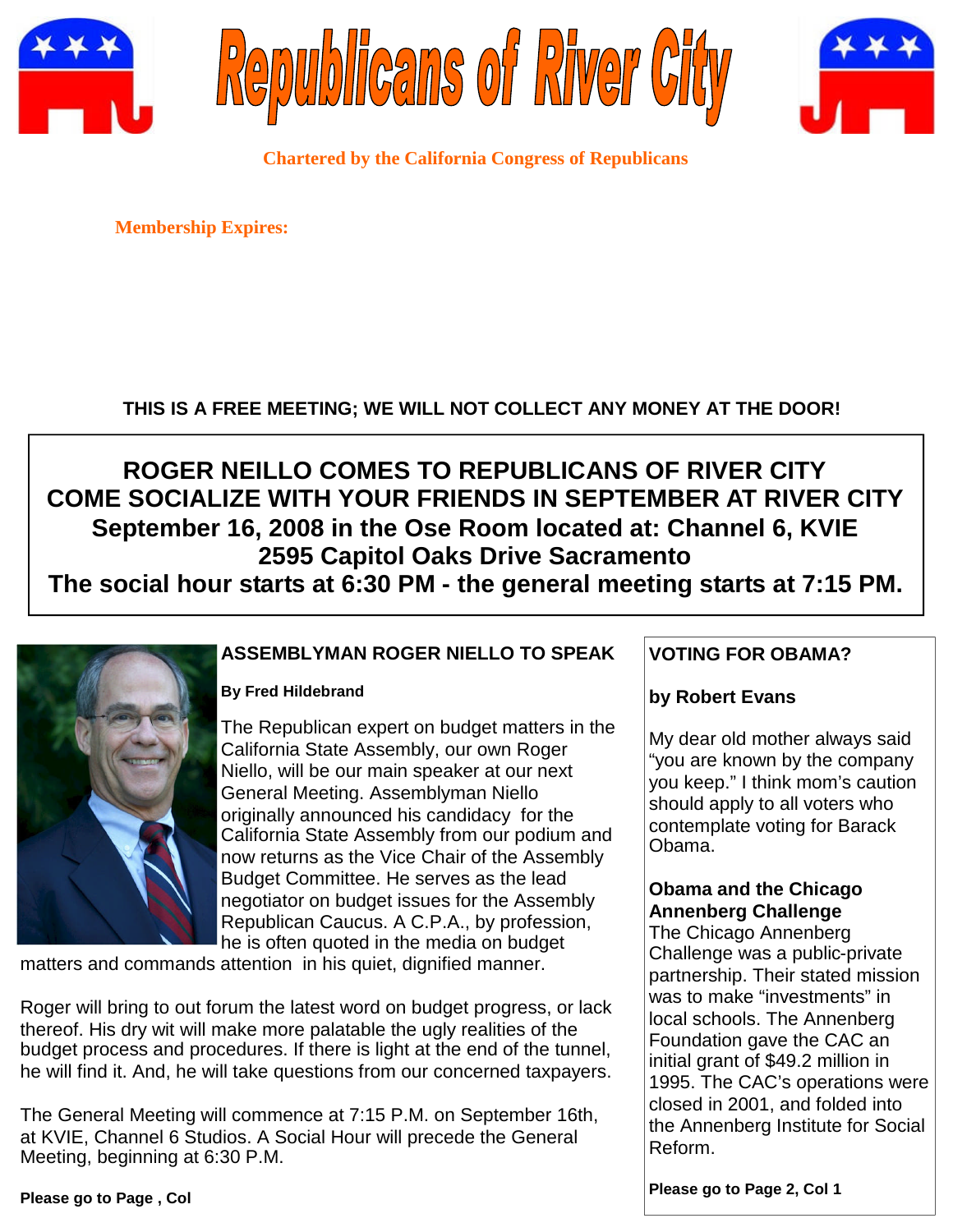





**Chartered by the California Congress of Republicans**

**Membership Expires:**

### **THIS IS A FREE MEETING; WE WILL NOT COLLECT ANY MONEY AT THE DOOR!**

# **ROGER NEILLO COMES TO REPUBLICANS OF RIVER CITY COME SOCIALIZE WITH YOUR FRIENDS IN SEPTEMBER AT RIVER CITY September 16, 2008 in the Ose Room located at: Channel 6, KVIE 2595 Capitol Oaks Drive Sacramento**

**The social hour starts at 6:30 PM - the general meeting starts at 7:15 PM.**



### **ASSEMBLYMAN ROGER NIELLO TO SPEAK**

#### **By Fred Hildebrand**

The Republican expert on budget matters in the California State Assembly, our own Roger Niello, will be our main speaker at our next General Meeting. Assemblyman Niello originally announced his candidacy for the California State Assembly from our podium and now returns as the Vice Chair of the Assembly Budget Committee. He serves as the lead negotiator on budget issues for the Assembly Republican Caucus. A C.P.A., by profession, he is often quoted in the media on budget

matters and commands attention in his quiet, dignified manner.

Roger will bring to out forum the latest word on budget progress, or lack thereof. His dry wit will make more palatable the ugly realities of the budget process and procedures. If there is light at the end of the tunnel, he will find it. And, he will take questions from our concerned taxpayers.

The General Meeting will commence at 7:15 P.M. on September 16th, at KVIE, Channel 6 Studios. A Social Hour will precede the General Meeting, beginning at 6:30 P.M.

### **VOTING FOR OBAMA?**

### **by Robert Evans**

My dear old mother always said "you are known by the company you keep." I think mom's caution should apply to all voters who contemplate voting for Barack Obama.

### **Obama and the Chicago Annenberg Challenge**

The Chicago Annenberg Challenge was a public-private partnership. Their stated mission was to make "investments" in local schools. The Annenberg Foundation gave the CAC an initial grant of \$49.2 million in 1995. The CAC's operations were closed in 2001, and folded into the Annenberg Institute for Social Reform.

**Please go to Page 2, Col 1**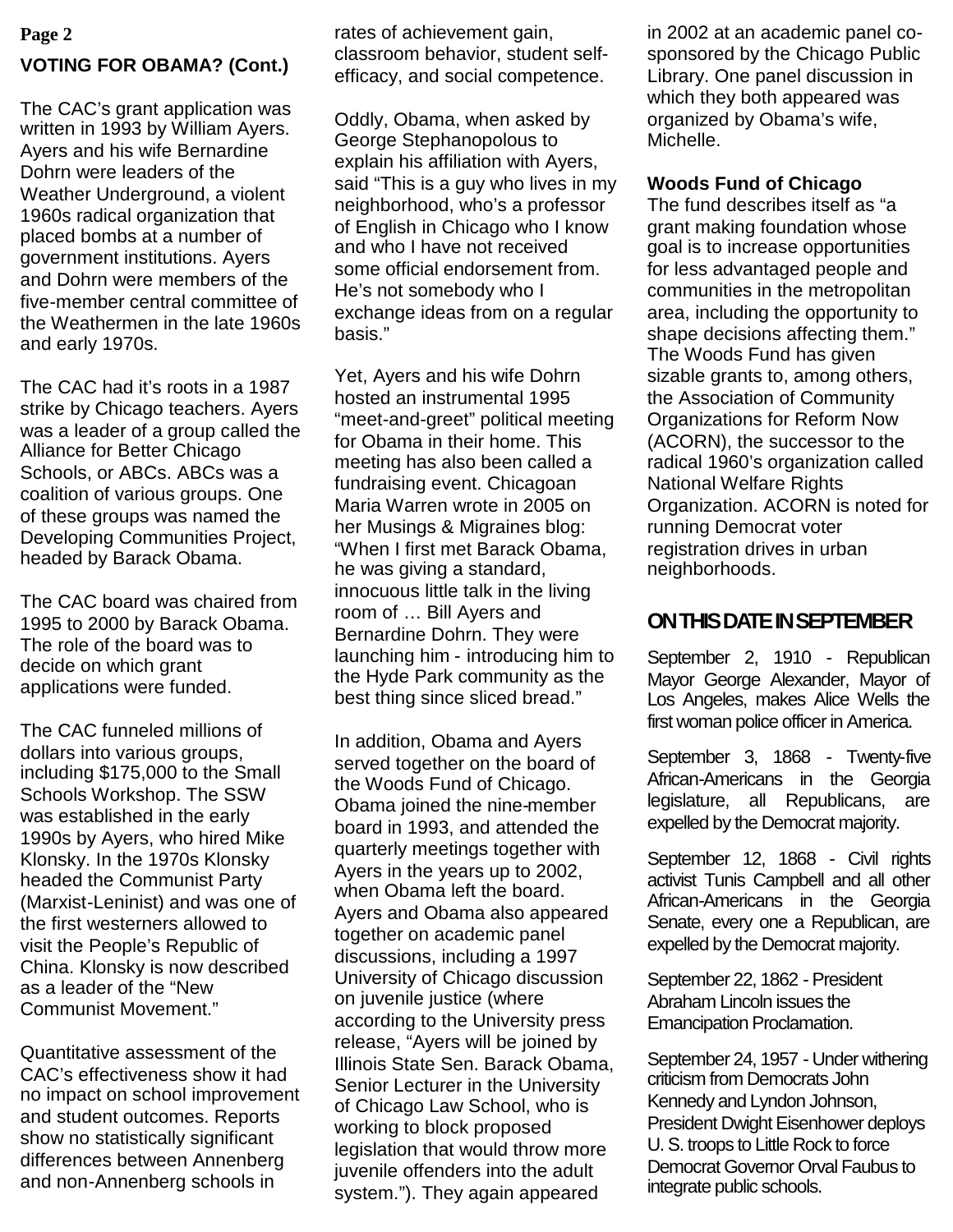### **VOTING FOR OBAMA? (Cont.) Page 2** rates of achievement gain,

The CAC's grant application was written in 1993 by William Ayers. Ayers and his wife Bernardine Dohrn were leaders of the Weather Underground, a violent 1960s radical organization that placed bombs at a number of government institutions. Ayers and Dohrn were members of the five-member central committee of the Weathermen in the late 1960s and early 1970s.

The CAC had it's roots in a 1987 strike by Chicago teachers. Ayers was a leader of a group called the Alliance for Better Chicago Schools, or ABCs. ABCs was a coalition of various groups. One of these groups was named the Developing Communities Project, headed by Barack Obama.

The CAC board was chaired from 1995 to 2000 by Barack Obama. The role of the board was to decide on which grant applications were funded.

The CAC funneled millions of dollars into various groups, including \$175,000 to the Small Schools Workshop. The SSW was established in the early 1990s by Ayers, who hired Mike Klonsky. In the 1970s Klonsky headed the Communist Party (Marxist-Leninist) and was one of the first westerners allowed to visit the People's Republic of China. Klonsky is now described as a leader of the "New Communist Movement."

Quantitative assessment of the CAC's effectiveness show it had no impact on school improvement and student outcomes. Reports show no statistically significant differences between Annenberg and non-Annenberg schools in

classroom behavior, student selfefficacy, and social competence.

Oddly, Obama, when asked by George Stephanopolous to explain his affiliation with Ayers, said "This is a guy who lives in my neighborhood, who's a professor of English in Chicago who I know and who I have not received some official endorsement from. He's not somebody who I exchange ideas from on a regular basis."

Yet, Ayers and his wife Dohrn hosted an instrumental 1995 "meet-and-greet" political meeting for Obama in their home. This meeting has also been called a fundraising event. Chicagoan Maria Warren wrote in 2005 on her Musings & Migraines blog: "When I first met Barack Obama, he was giving a standard, innocuous little talk in the living room of … Bill Ayers and Bernardine Dohrn. They were launching him - introducing him to the Hyde Park community as the best thing since sliced bread."

In addition, Obama and Ayers served together on the board of the Woods Fund of Chicago. Obama joined the nine-member board in 1993, and attended the quarterly meetings together with Ayers in the years up to 2002, when Obama left the board. Ayers and Obama also appeared together on academic panel discussions, including a 1997 University of Chicago discussion on juvenile justice (where according to the University press release, "Ayers will be joined by Illinois State Sen. Barack Obama, Senior Lecturer in the University of Chicago Law School, who is working to block proposed legislation that would throw more juvenile offenders into the adult system."). They again appeared

in 2002 at an academic panel cosponsored by the Chicago Public Library. One panel discussion in which they both appeared was organized by Obama's wife, Michelle.

### **Woods Fund of Chicago**

The fund describes itself as "a grant making foundation whose goal is to increase opportunities for less advantaged people and communities in the metropolitan area, including the opportunity to shape decisions affecting them." The Woods Fund has given sizable grants to, among others, the Association of Community Organizations for Reform Now (ACORN), the successor to the radical 1960's organization called National Welfare Rights Organization. ACORN is noted for running Democrat voter registration drives in urban neighborhoods.

## **ONTHISDATEINSEPTEMBER**

September 2, 1910 - Republican Mayor George Alexander, Mayor of Los Angeles, makes Alice Wells the first woman police officer in America.

September 3, 1868 - Twenty-five African-Americans in the Georgia legislature, all Republicans, are expelled by the Democrat majority.

September 12, 1868 - Civil rights activist Tunis Campbell and all other African-Americans in the Georgia Senate, every one a Republican, are expelled by the Democrat majority.

September 22, 1862 - President Abraham Lincoln issues the Emancipation Proclamation.

September 24, 1957 - Under withering criticism from Democrats John Kennedy and Lyndon Johnson, President Dwight Eisenhower deploys U. S. troops to Little Rock to force Democrat Governor Orval Faubus to integrate public schools.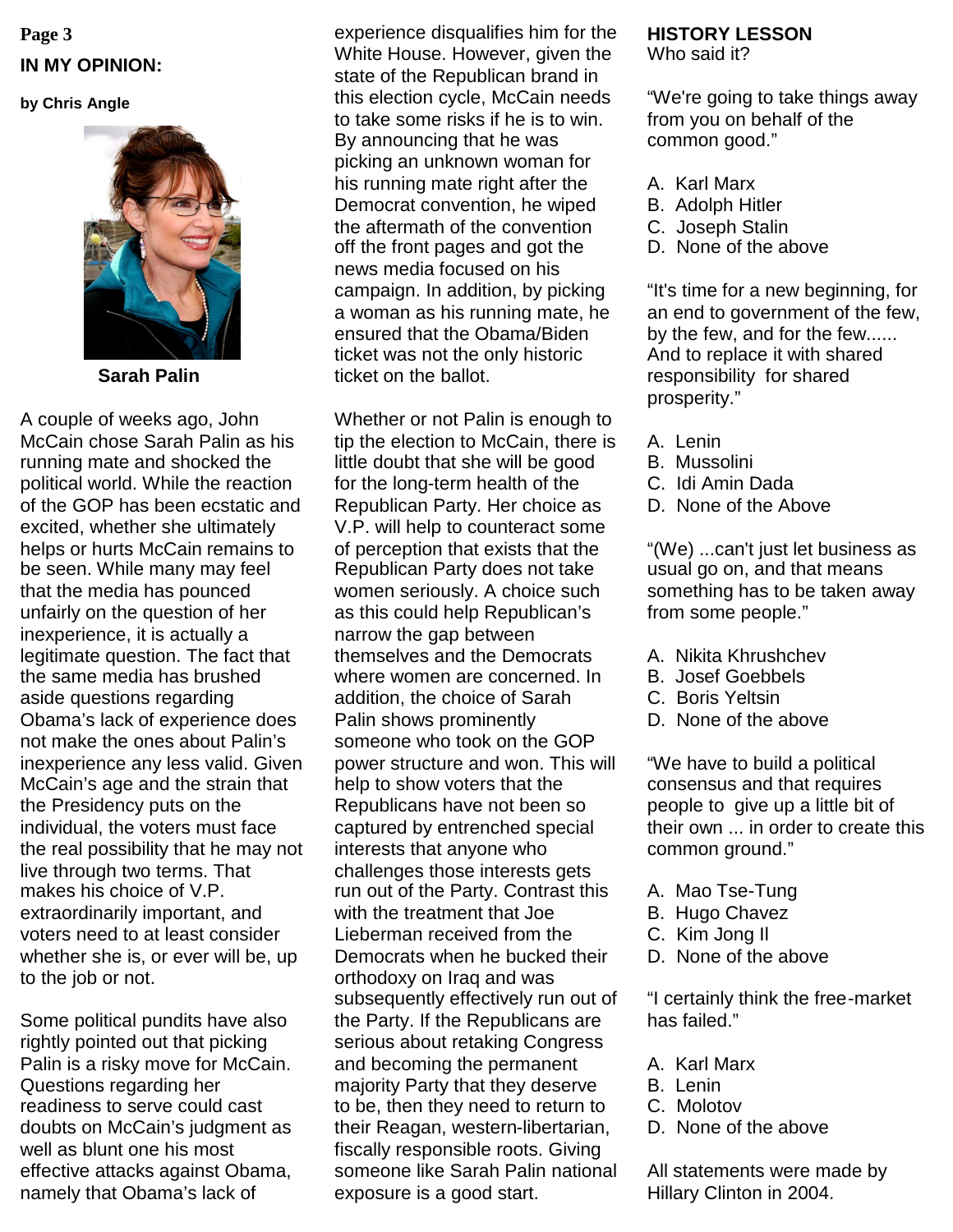# **Page 3 IN MY OPINION:**

#### **by Chris Angle**



**Sarah Palin**

A couple of weeks ago, John McCain chose Sarah Palin as his running mate and shocked the political world. While the reaction of the GOP has been ecstatic and excited, whether she ultimately helps or hurts McCain remains to be seen. While many may feel that the media has pounced unfairly on the question of her inexperience, it is actually a legitimate question. The fact that the same media has brushed aside questions regarding Obama's lack of experience does not make the ones about Palin's inexperience any less valid. Given McCain's age and the strain that the Presidency puts on the individual, the voters must face the real possibility that he may not live through two terms. That makes his choice of V.P. extraordinarily important, and voters need to at least consider whether she is, or ever will be, up to the job or not.

Some political pundits have also rightly pointed out that picking Palin is a risky move for McCain. Questions regarding her readiness to serve could cast doubts on McCain's judgment as well as blunt one his most effective attacks against Obama, namely that Obama's lack of

experience disqualifies him for the White House. However, given the state of the Republican brand in this election cycle, McCain needs to take some risks if he is to win. By announcing that he was picking an unknown woman for his running mate right after the Democrat convention, he wiped the aftermath of the convention off the front pages and got the news media focused on his campaign. In addition, by picking a woman as his running mate, he ensured that the Obama/Biden ticket was not the only historic ticket on the ballot.

Whether or not Palin is enough to tip the election to McCain, there is little doubt that she will be good for the long-term health of the Republican Party. Her choice as V.P. will help to counteract some of perception that exists that the Republican Party does not take women seriously. A choice such as this could help Republican's narrow the gap between themselves and the Democrats where women are concerned. In addition, the choice of Sarah Palin shows prominently someone who took on the GOP power structure and won. This will help to show voters that the Republicans have not been so captured by entrenched special interests that anyone who challenges those interests gets run out of the Party. Contrast this with the treatment that Joe Lieberman received from the Democrats when he bucked their orthodoxy on Iraq and was subsequently effectively run out of the Party. If the Republicans are serious about retaking Congress and becoming the permanent majority Party that they deserve to be, then they need to return to their Reagan, western-libertarian, fiscally responsible roots. Giving someone like Sarah Palin national exposure is a good start.

#### **HISTORY LESSON** Who said it?

"We're going to take things away from you on behalf of the common good."

- A. Karl Marx
- B. Adolph Hitler
- C. Joseph Stalin
- D. None of the above

"It's time for a new beginning, for an end to government of the few, by the few, and for the few...... And to replace it with shared responsibility for shared prosperity."

- A. Lenin
- B. Mussolini
- C. Idi Amin Dada
- D. None of the Above

"(We) ...can't just let business as usual go on, and that means something has to be taken away from some people."

- A. Nikita Khrushchev
- B. Josef Goebbels
- C. Boris Yeltsin
- D. None of the above

"We have to build a political consensus and that requires people to give up a little bit of their own ... in order to create this common ground."

- A. Mao Tse-Tung
- B. Hugo Chavez
- C. Kim Jong Il
- D. None of the above

"I certainly think the free-market has failed."

- A. Karl Marx
- B. Lenin
- C. Molotov
- D. None of the above

All statements were made by Hillary Clinton in 2004.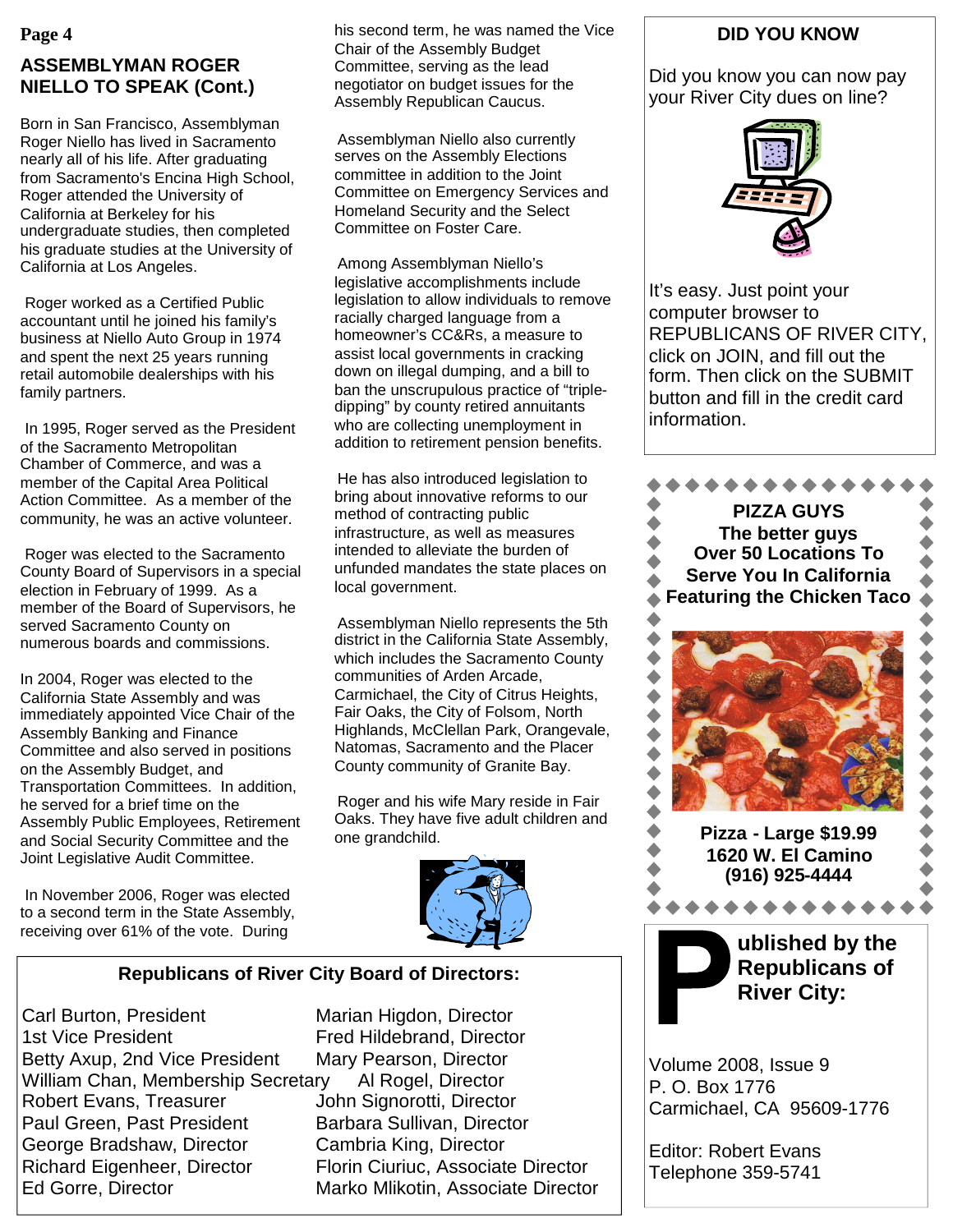### **Page 4 ASSEMBLYMAN ROGER NIELLO TO SPEAK (Cont.)**

Born in San Francisco, Assemblyman Roger Niello has lived in Sacramento nearly all of his life. After graduating from Sacramento's Encina High School, Roger attended the University of California at Berkeley for his undergraduate studies, then completed his graduate studies at the University of California at Los Angeles.

Roger worked as a Certified Public accountant until he joined his family's business at Niello Auto Group in 1974 and spent the next 25 years running retail automobile dealerships with his family partners.

In 1995, Roger served as the President of the Sacramento Metropolitan Chamber of Commerce, and was a member of the Capital Area Political Action Committee. As a member of the community, he was an active volunteer.

Roger was elected to the Sacramento County Board of Supervisors in a special election in February of 1999. As a member of the Board of Supervisors, he served Sacramento County on numerous boards and commissions.

In 2004, Roger was elected to the California State Assembly and was immediately appointed Vice Chair of the Assembly Banking and Finance Committee and also served in positions on the Assembly Budget, and Transportation Committees. In addition, he served for a brief time on the Assembly Public Employees, Retirement and Social Security Committee and the Joint Legislative Audit Committee.

In November 2006, Roger was elected to a second term in the State Assembly, receiving over 61% of the vote. During

his second term, he was named the Vice Chair of the Assembly Budget Committee, serving as the lead negotiator on budget issues for the Assembly Republican Caucus.

Assemblyman Niello also currently serves on the Assembly Elections committee in addition to the Joint Committee on Emergency Services and Homeland Security and the Select Committee on Foster Care.

Among Assemblyman Niello's legislative accomplishments include legislation to allow individuals to remove racially charged language from a homeowner's CC&Rs, a measure to assist local governments in cracking down on illegal dumping, and a bill to ban the unscrupulous practice of "tripledipping" by county retired annuitants who are collecting unemployment in addition to retirement pension benefits.

He has also introduced legislation to bring about innovative reforms to our method of contracting public infrastructure, as well as measures intended to alleviate the burden of unfunded mandates the state places on local government.

Assemblyman Niello represents the 5th district in the California State Assembly, which includes the Sacramento County communities of Arden Arcade, Carmichael, the City of Citrus Heights, Fair Oaks, the City of Folsom, North Highlands, McClellan Park, Orangevale, Natomas, Sacramento and the Placer County community of Granite Bay.

Roger and his wife Mary reside in Fair Oaks. They have five adult children and one grandchild.



### **Republicans of River City Board of Directors:**

Carl Burton, President Marian Higdon, Director 1st Vice President Fred Hildebrand, Director Betty Axup, 2nd Vice President Mary Pearson, Director William Chan, Membership Secretary Al Rogel, Director Robert Evans, Treasurer **John Signorotti, Director** Paul Green, Past President Barbara Sullivan, Director George Bradshaw, Director Cambria King, Director Richard Eigenheer, Director Florin Ciuriuc, Associate Director Ed Gorre, Director **Marko Mlikotin, Associate Director** 

### **DID YOU KNOW**

Did you know you can now pay your River City dues on line?



It's easy. Just point your computer browser to REPUBLICANS OF RIVER CITY, click on JOIN, and fill out the form. Then click on the SUBMIT button and fill in the credit card information.



Volume 2008, Issue 9 P. O. Box 1776 Carmichael, CA 95609-1776

Editor: Robert Evans Telephone 359-5741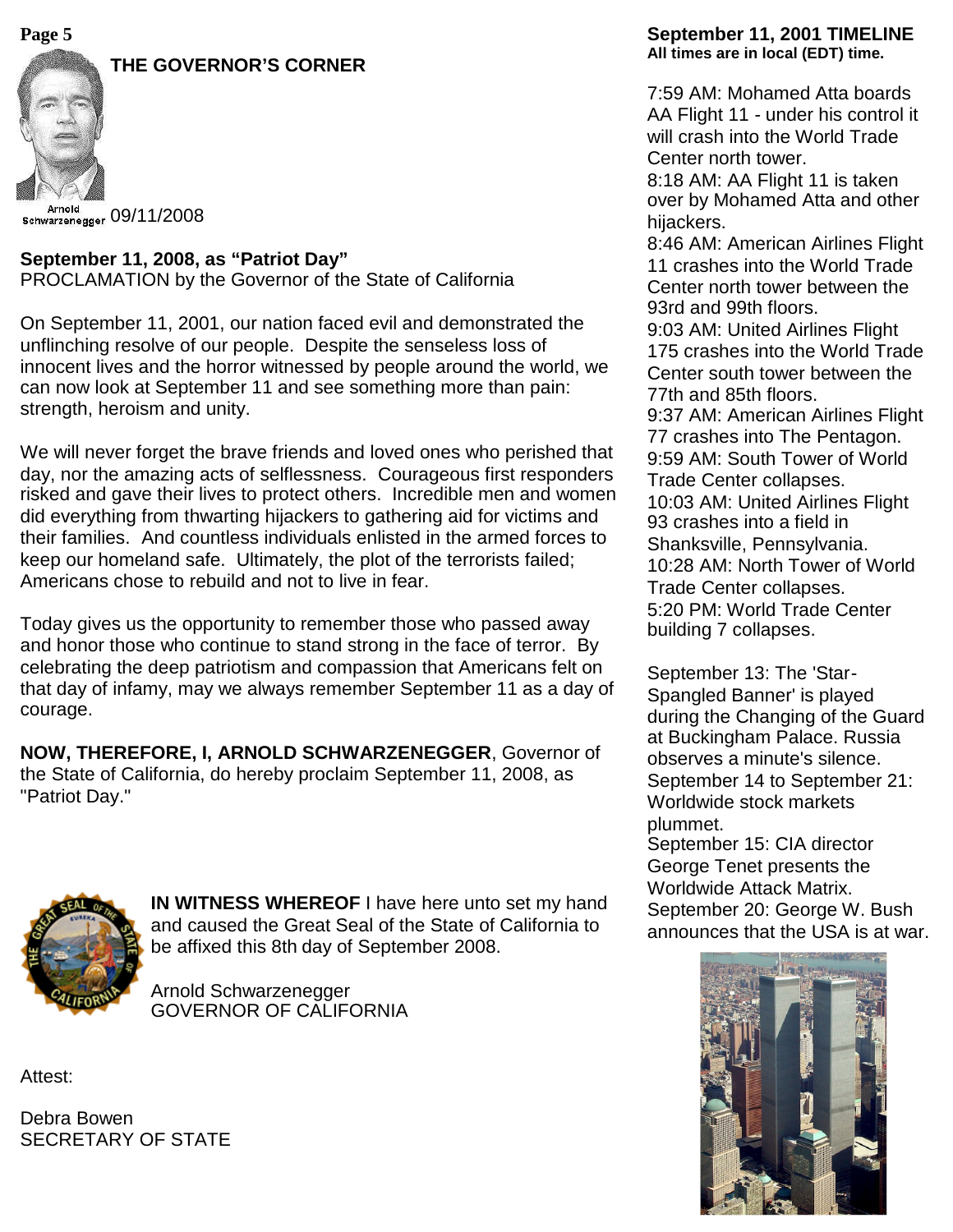### **THE GOVERNOR'S CORNER**



Arnold schwarzenegger 09/11/2008

### **September 11, 2008, as "Patriot Day"**

PROCLAMATION by the Governor of the State of California

On September 11, 2001, our nation faced evil and demonstrated the unflinching resolve of our people. Despite the senseless loss of innocent lives and the horror witnessed by people around the world, we can now look at September 11 and see something more than pain: strength, heroism and unity.

We will never forget the brave friends and loved ones who perished that day, nor the amazing acts of selflessness. Courageous first responders risked and gave their lives to protect others. Incredible men and women did everything from thwarting hijackers to gathering aid for victims and their families. And countless individuals enlisted in the armed forces to keep our homeland safe. Ultimately, the plot of the terrorists failed; Americans chose to rebuild and not to live in fear.

Today gives us the opportunity to remember those who passed away and honor those who continue to stand strong in the face of terror. By celebrating the deep patriotism and compassion that Americans felt on that day of infamy, may we always remember September 11 as a day of courage.

**NOW, THEREFORE, I, ARNOLD SCHWARZENEGGER**, Governor of the State of California, do hereby proclaim September 11, 2008, as "Patriot Day."



**IN WITNESS WHEREOF** I have here unto set my hand and caused the Great Seal of the State of California to be affixed this 8th day of September 2008.

Arnold Schwarzenegger GOVERNOR OF CALIFORNIA

Attest:

Debra Bowen SECRETARY OF STATE

#### **Page 5 September 11, 2001 TIMELINE All times are in local (EDT) time.**

7:59 AM: Mohamed Atta boards AA Flight 11 - under his control it will crash into the World Trade Center north tower.

8:18 AM: AA Flight 11 is taken over by Mohamed Atta and other hijackers.

8:46 AM: American Airlines Flight 11 crashes into the World Trade Center north tower between the 93rd and 99th floors.

9:03 AM: United Airlines Flight 175 crashes into the World Trade Center south tower between the 77th and 85th floors.

9:37 AM: American Airlines Flight 77 crashes into The Pentagon. 9:59 AM: South Tower of World

Trade Center collapses.

10:03 AM: United Airlines Flight 93 crashes into a field in Shanksville, Pennsylvania. 10:28 AM: North Tower of World Trade Center collapses. 5:20 PM: World Trade Center building 7 collapses.

September 13: The 'Star-Spangled Banner' is played during the Changing of the Guard at Buckingham Palace. Russia observes a minute's silence. September 14 to September 21: Worldwide stock markets plummet.

September 15: CIA director George Tenet presents the Worldwide Attack Matrix. September 20: George W. Bush announces that the USA is at war.